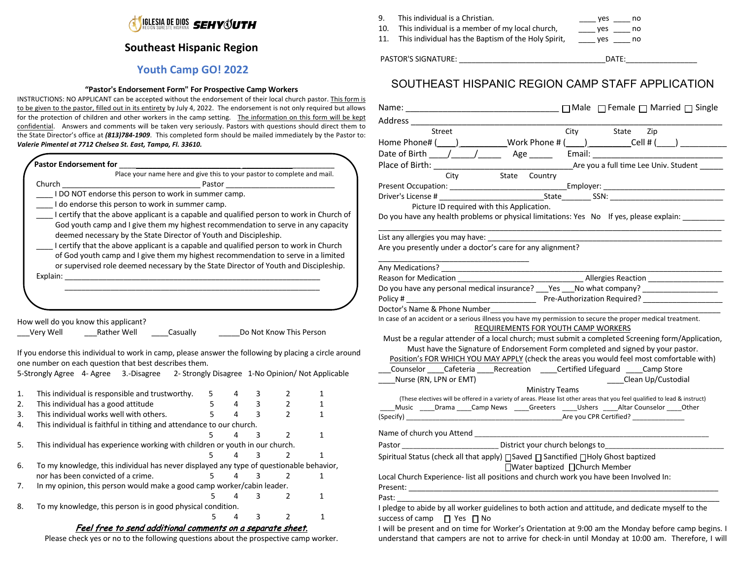

# **Southeast Hispanic Region**

# **Youth Camp GO! 2022**

#### **"Pastor's Endorsement Form" For Prospective Camp Workers**

INSTRUCTIONS: NO APPLICANT can be accepted without the endorsement of their local church pastor. This form is to be given to the pastor, filled out in its entirety by July 4, 2022. The endorsement is not only required but allows for the protection of children and other workers in the camp setting. The information on this form will be kept confidential. Answers and comments will be taken very seriously. Pastors with questions should direct them to the State Director's office at *(813)784-1909*. This completed form should be mailed immediately by the Pastor to: *Valerie Pimentel at 7712 Chelsea St. East, Tampa, Fl. 33610.*

| Place your name here and give this to your pastor to complete and mail.                                                                                                                                                                      |             |   |             |                         |              |
|----------------------------------------------------------------------------------------------------------------------------------------------------------------------------------------------------------------------------------------------|-------------|---|-------------|-------------------------|--------------|
| Church<br><b>Pastor Constanting the Constanting Service Service Service Service Service Service Service Service Service Service Service Service Service Service Service Service Service Service Service Service Service Service Service </b> |             |   |             |                         |              |
| I DO NOT endorse this person to work in summer camp.                                                                                                                                                                                         |             |   |             |                         |              |
| I do endorse this person to work in summer camp.                                                                                                                                                                                             |             |   |             |                         |              |
| I certify that the above applicant is a capable and qualified person to work in Church of                                                                                                                                                    |             |   |             |                         |              |
| God youth camp and I give them my highest recommendation to serve in any capacity<br>deemed necessary by the State Director of Youth and Discipleship.                                                                                       |             |   |             |                         |              |
| I certify that the above applicant is a capable and qualified person to work in Church                                                                                                                                                       |             |   |             |                         |              |
| of God youth camp and I give them my highest recommendation to serve in a limited                                                                                                                                                            |             |   |             |                         |              |
| or supervised role deemed necessary by the State Director of Youth and Discipleship.                                                                                                                                                         |             |   |             |                         |              |
|                                                                                                                                                                                                                                              |             |   |             |                         |              |
|                                                                                                                                                                                                                                              |             |   |             |                         |              |
|                                                                                                                                                                                                                                              |             |   |             |                         |              |
|                                                                                                                                                                                                                                              |             |   |             |                         |              |
|                                                                                                                                                                                                                                              |             |   |             |                         |              |
| How well do you know this applicant?                                                                                                                                                                                                         |             |   |             |                         |              |
|                                                                                                                                                                                                                                              |             |   |             |                         |              |
| Rather Well Casually<br>Very Well                                                                                                                                                                                                            |             |   |             | Do Not Know This Person |              |
|                                                                                                                                                                                                                                              |             |   |             |                         |              |
| If you endorse this individual to work in camp, please answer the following by placing a circle around                                                                                                                                       |             |   |             |                         |              |
| one number on each question that best describes them.                                                                                                                                                                                        |             |   |             |                         |              |
| 5-Strongly Agree 4- Agree 3.-Disagree 2- Strongly Disagree 1-No Opinion/ Not Applicable                                                                                                                                                      |             |   |             |                         |              |
|                                                                                                                                                                                                                                              |             |   |             |                         |              |
| This individual is responsible and trustworthy.                                                                                                                                                                                              | 5           | 4 | 3           | 2                       | 1            |
| This individual has a good attitude                                                                                                                                                                                                          | $5^{\circ}$ | 4 | $3^{\circ}$ | $\overline{2}$          | 1            |
| This individual works well with others.                                                                                                                                                                                                      | 5           | 4 | 3           | $\overline{2}$          | 1            |
| This individual is faithful in tithing and attendance to our church.                                                                                                                                                                         |             |   |             |                         |              |
|                                                                                                                                                                                                                                              | 5           | 4 | 3           | $\overline{2}$          | $\mathbf{1}$ |
| This individual has experience working with children or youth in our church.                                                                                                                                                                 |             |   |             |                         |              |
|                                                                                                                                                                                                                                              | 5           | 4 | 3           | $\mathfrak z$           | $\mathbf{1}$ |
| To my knowledge, this individual has never displayed any type of questionable behavior,                                                                                                                                                      |             |   |             |                         |              |
| nor has been convicted of a crime.                                                                                                                                                                                                           | 5           | 4 | 3           | 2                       | 1            |
| In my opinion, this person would make a good camp worker/cabin leader.                                                                                                                                                                       |             |   |             |                         |              |
|                                                                                                                                                                                                                                              | 5           | 4 | 3           | 2                       | $\mathbf{1}$ |
| To my knowledge, this person is in good physical condition.                                                                                                                                                                                  |             |   |             |                         |              |

Please check yes or no to the following questions about the prospective camp worker.

9. This individual is a Christian. This individual is a Christian.

10. This individual is a member of my local church, \_\_\_\_\_ yes \_\_\_\_ no

11. This individual has the Baptism of the Holy Spirit, \_\_\_\_ yes \_\_\_\_ no

PASTOR'S SIGNATURE: \_\_\_\_\_\_\_\_\_\_\_\_\_\_\_\_\_\_\_\_\_\_\_\_\_\_\_\_\_\_\_\_\_\_\_DATE:\_\_\_\_\_\_\_\_\_\_\_\_\_\_\_\_\_

# SOUTHEAST HISPANIC REGION CAMP STAFF APPLICATION

| Street<br>City State Zip                                                                                                                             |
|------------------------------------------------------------------------------------------------------------------------------------------------------|
| Home Phone# ( ___ ) ____________Work Phone # ( ___ ) ___________Cell # ( ___ ) ____________                                                          |
|                                                                                                                                                      |
|                                                                                                                                                      |
| State Country<br>City                                                                                                                                |
|                                                                                                                                                      |
|                                                                                                                                                      |
| Picture ID required with this Application.                                                                                                           |
| Do you have any health problems or physical limitations: Yes No If yes, please explain: __________                                                   |
|                                                                                                                                                      |
|                                                                                                                                                      |
| Are you presently under a doctor's care for any alignment?                                                                                           |
|                                                                                                                                                      |
|                                                                                                                                                      |
|                                                                                                                                                      |
| Do you have any personal medical insurance? Pes No what company? Production-                                                                         |
|                                                                                                                                                      |
| Doctor's Name & Phone Number                                                                                                                         |
| In case of an accident or a serious illness you have my permission to secure the proper medical treatment.                                           |
| REQUIREMENTS FOR YOUTH CAMP WORKERS                                                                                                                  |
| Must be a regular attender of a local church; must submit a completed Screening form/Application,                                                    |
| Must have the Signature of Endorsement Form completed and signed by your pastor.                                                                     |
| Position's FOR WHICH YOU MAY APPLY (check the areas you would feel most comfortable with)                                                            |
| Counselor Cafeteria Recreation Certified Lifeguard Camp Store                                                                                        |
| Nurse (RN, LPN or EMT)<br>Clean Up/Custodial                                                                                                         |
| <b>Ministry Teams</b><br>(These electives will be offered in a variety of areas. Please list other areas that you feel qualified to lead & instruct) |
| Music _____Drama _____Camp News ______Greeters ______Ushers ______Altar Counselor _____Other                                                         |
|                                                                                                                                                      |
|                                                                                                                                                      |
|                                                                                                                                                      |
| Pastor ______________________________ District your church belongs to___________                                                                     |
| Spiritual Status (check all that apply) ∏Saved ∏ Sanctified ∏Holy Ghost baptized                                                                     |
| □Water baptized □Church Member                                                                                                                       |
| Local Church Experience- list all positions and church work you have been Involved In:                                                               |
|                                                                                                                                                      |
| Past:                                                                                                                                                |
| I pledge to abide by all worker guidelines to both action and attitude, and dedicate myself to the                                                   |
| success of camp □ Yes □ No                                                                                                                           |

I will be present and on time for Worker's Orientation at 9:00 am the Monday before camp begins. I understand that campers are not to arrive for check-in until Monday at 10:00 am. Therefore, I will